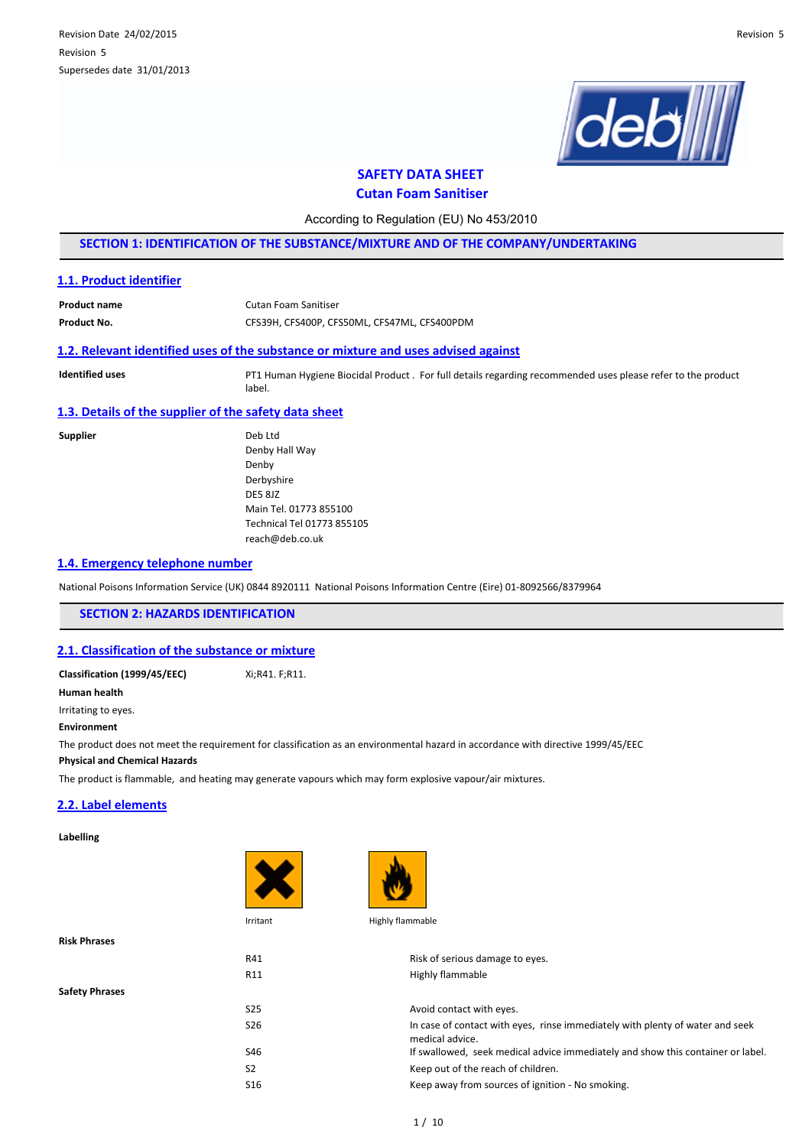

# **SAFETY DATA SHEET**

**Cutan Foam Sanitiser**

According to Regulation (EU) No 453/2010

**SECTION 1: IDENTIFICATION OF THE SUBSTANCE/MIXTURE AND OF THE COMPANY/UNDERTAKING**

### **1.1. Product identifier**

| <b>Product name</b> | Cutan Foam Sanitiser                         |
|---------------------|----------------------------------------------|
| Product No.         | CFS39H, CFS400P, CFS50ML, CFS47ML, CFS400PDM |

## **1.2. Relevant identified uses of the substance or mixture and uses advised against**

**Identified uses** PT1 Human Hygiene Biocidal Product . For full details regarding recommended uses please refer to the product label.

## **1.3. Details of the supplier of the safety data sheet**

**Supplier** 

| Deb I td                   |
|----------------------------|
| Denby Hall Way             |
| Denby                      |
| Derbyshire                 |
| DF5 817                    |
| Main Tel. 01773 855100     |
| Technical Tel 01773 855105 |
| reach@deb.co.uk            |
|                            |

### **1.4. Emergency telephone number**

National Poisons Information Service (UK) 0844 8920111 National Poisons Information Centre (Eire) 01-8092566/8379964

**SECTION 2: HAZARDS IDENTIFICATION**

### **2.1. Classification of the substance or mixture**

**Classification (1999/45/EEC)** Xi;R41. F;R11. **Human health** Irritating to eyes. **Environment**

The product does not meet the requirement for classification as an environmental hazard in accordance with directive 1999/45/EEC

**Physical and Chemical Hazards**

The product is flammable, and heating may generate vapours which may form explosive vapour/air mixtures.

#### **2.2. Label elements**

#### **Labelling**





**Risk Phrases**

**Safety Phrases**

Irritant Highly flammable

| R41             | Risk of serious damage to eyes.                                                                  |
|-----------------|--------------------------------------------------------------------------------------------------|
| R <sub>11</sub> | Highly flammable                                                                                 |
|                 |                                                                                                  |
| S <sub>25</sub> | Avoid contact with eyes.                                                                         |
| S <sub>26</sub> | In case of contact with eyes, rinse immediately with plenty of water and seek<br>medical advice. |
| S46             | If swallowed, seek medical advice immediately and show this container or label.                  |
| S <sub>2</sub>  | Keep out of the reach of children.                                                               |
| S <sub>16</sub> | Keep away from sources of ignition - No smoking.                                                 |
|                 |                                                                                                  |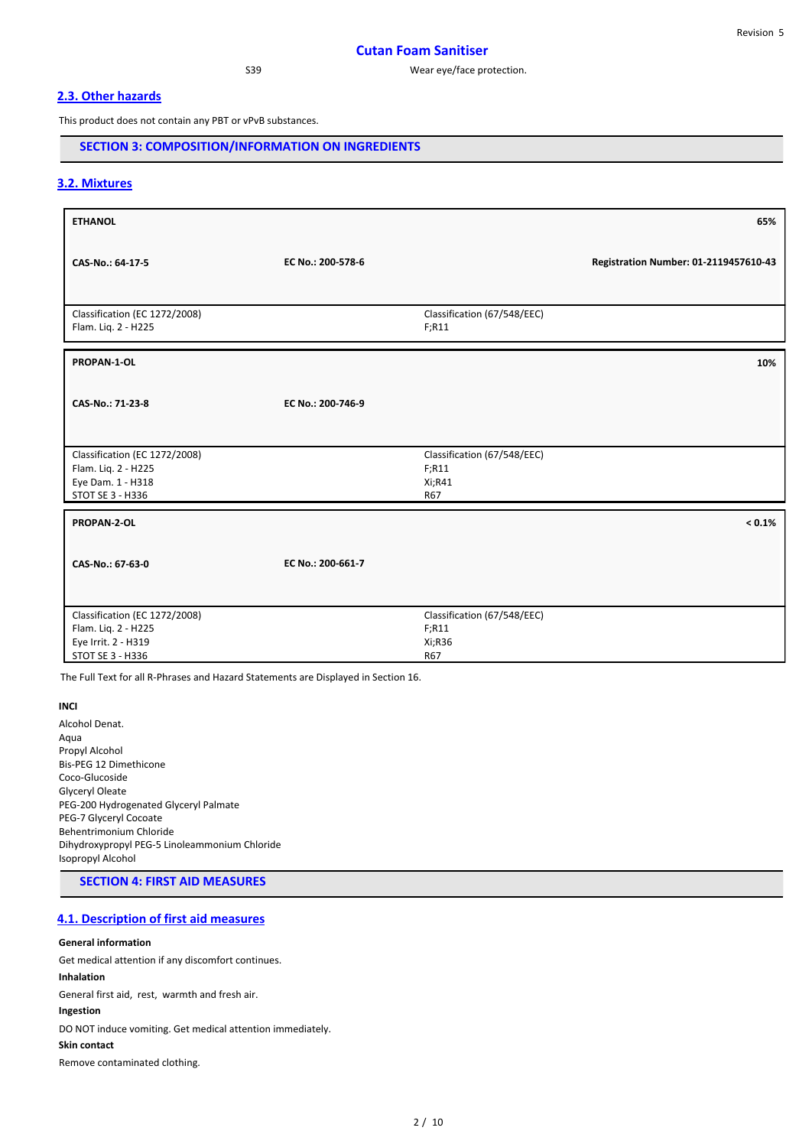# **2.3. Other hazards**

This product does not contain any PBT or vPvB substances.

# **SECTION 3: COMPOSITION/INFORMATION ON INGREDIENTS**

# **3.2. Mixtures**

| <b>ETHANOL</b>                                                                                  |                   |                                                        | 65%                                   |
|-------------------------------------------------------------------------------------------------|-------------------|--------------------------------------------------------|---------------------------------------|
| CAS-No.: 64-17-5                                                                                | EC No.: 200-578-6 |                                                        | Registration Number: 01-2119457610-43 |
| Classification (EC 1272/2008)<br>Flam. Liq. 2 - H225                                            |                   | Classification (67/548/EEC)<br>F; R11                  |                                       |
| PROPAN-1-OL                                                                                     |                   |                                                        | 10%                                   |
| CAS-No.: 71-23-8                                                                                | EC No.: 200-746-9 |                                                        |                                       |
| Classification (EC 1272/2008)<br>Flam. Liq. 2 - H225<br>Eye Dam. 1 - H318<br>STOT SE 3 - H336   |                   | Classification (67/548/EEC)<br>F; R11<br>Xi;R41<br>R67 |                                       |
| <b>PROPAN-2-OL</b>                                                                              |                   |                                                        | $< 0.1\%$                             |
| CAS-No.: 67-63-0                                                                                | EC No.: 200-661-7 |                                                        |                                       |
| Classification (EC 1272/2008)<br>Flam. Liq. 2 - H225<br>Eye Irrit. 2 - H319<br>STOT SE 3 - H336 |                   | Classification (67/548/EEC)<br>F; R11<br>Xi;R36<br>R67 |                                       |

The Full Text for all R-Phrases and Hazard Statements are Displayed in Section 16.

#### **INCI**

Alcohol Denat. Aqua Propyl Alcohol Bis-PEG 12 Dimethicone Coco-Glucoside Glyceryl Oleate PEG-200 Hydrogenated Glyceryl Palmate PEG-7 Glyceryl Cocoate Behentrimonium Chloride Dihydroxypropyl PEG-5 Linoleammonium Chloride Isopropyl Alcohol

# **SECTION 4: FIRST AID MEASURES**

# **4.1. Description of first aid measures**

#### **General information**

Get medical attention if any discomfort continues. **Inhalation** General first aid, rest, warmth and fresh air. **Ingestion** DO NOT induce vomiting. Get medical attention immediately. **Skin contact** Remove contaminated clothing.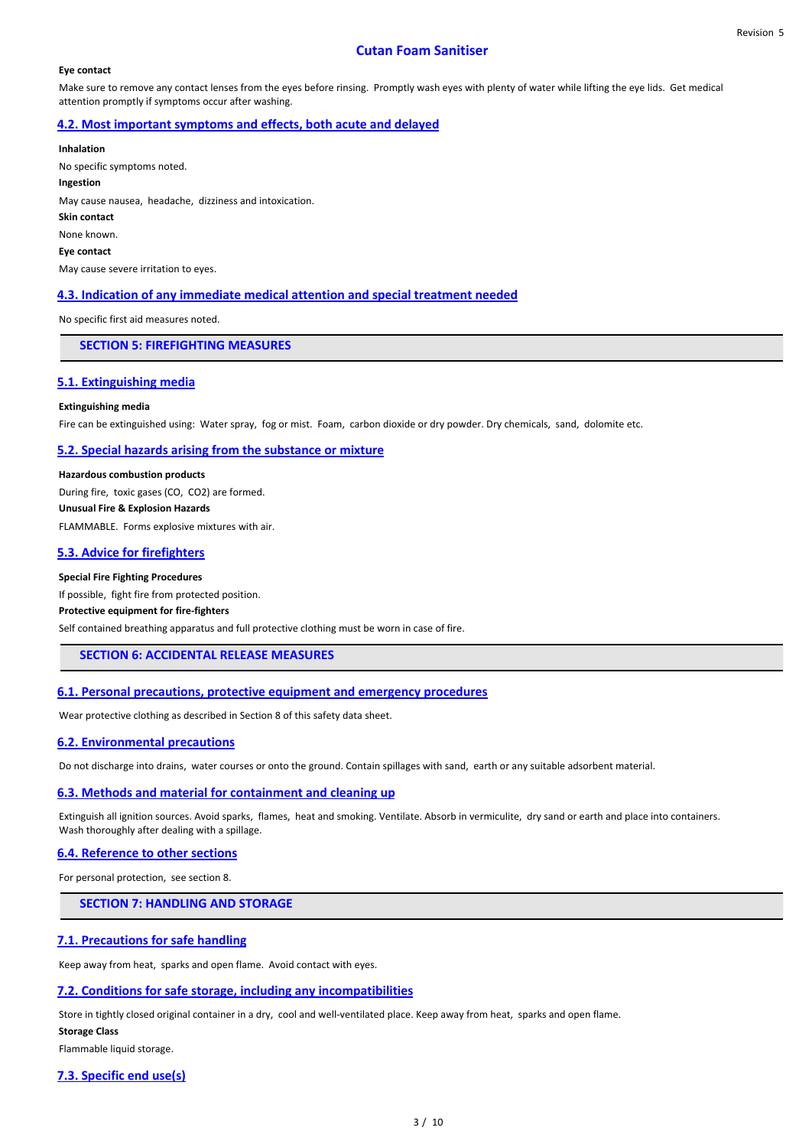## **Cutan Foam Sanitiser**

#### **Eye contact**

Make sure to remove any contact lenses from the eyes before rinsing. Promptly wash eyes with plenty of water while lifting the eye lids. Get medical attention promptly if symptoms occur after washing.

## **4.2. Most important symptoms and effects, both acute and delayed**

**Inhalation** No specific symptoms noted. **Ingestion** May cause nausea, headache, dizziness and intoxication. **Skin contact** None known. **Eye contact** May cause severe irritation to eyes.

## **4.3. Indication of any immediate medical attention and special treatment needed**

No specific first aid measures noted.

# **SECTION 5: FIREFIGHTING MEASURES**

#### **5.1. Extinguishing media**

#### **Extinguishing media**

Fire can be extinguished using: Water spray, fog or mist. Foam, carbon dioxide or dry powder. Dry chemicals, sand, dolomite etc.

#### **5.2. Special hazards arising from the substance or mixture**

**Hazardous combustion products** During fire, toxic gases (CO, CO2) are formed. **Unusual Fire & Explosion Hazards** FLAMMABLE. Forms explosive mixtures with air.

#### **5.3. Advice for firefighters**

#### **Special Fire Fighting Procedures**

If possible, fight fire from protected position. **Protective equipment for fire-fighters** Self contained breathing apparatus and full protective clothing must be worn in case of fire.

## **SECTION 6: ACCIDENTAL RELEASE MEASURES**

#### **6.1. Personal precautions, protective equipment and emergency procedures**

Wear protective clothing as described in Section 8 of this safety data sheet.

### **6.2. Environmental precautions**

Do not discharge into drains, water courses or onto the ground. Contain spillages with sand, earth or any suitable adsorbent material.

#### **6.3. Methods and material for containment and cleaning up**

Extinguish all ignition sources. Avoid sparks, flames, heat and smoking. Ventilate. Absorb in vermiculite, dry sand or earth and place into containers. Wash thoroughly after dealing with a spillage.

### **6.4. Reference to other sections**

For personal protection, see section 8.

## **SECTION 7: HANDLING AND STORAGE**

### **7.1. Precautions for safe handling**

Keep away from heat, sparks and open flame. Avoid contact with eyes.

## **7.2. Conditions for safe storage, including any incompatibilities**

Store in tightly closed original container in a dry, cool and well-ventilated place. Keep away from heat, sparks and open flame.

#### **Storage Class**

Flammable liquid storage.

#### **7.3. Specific end use(s)**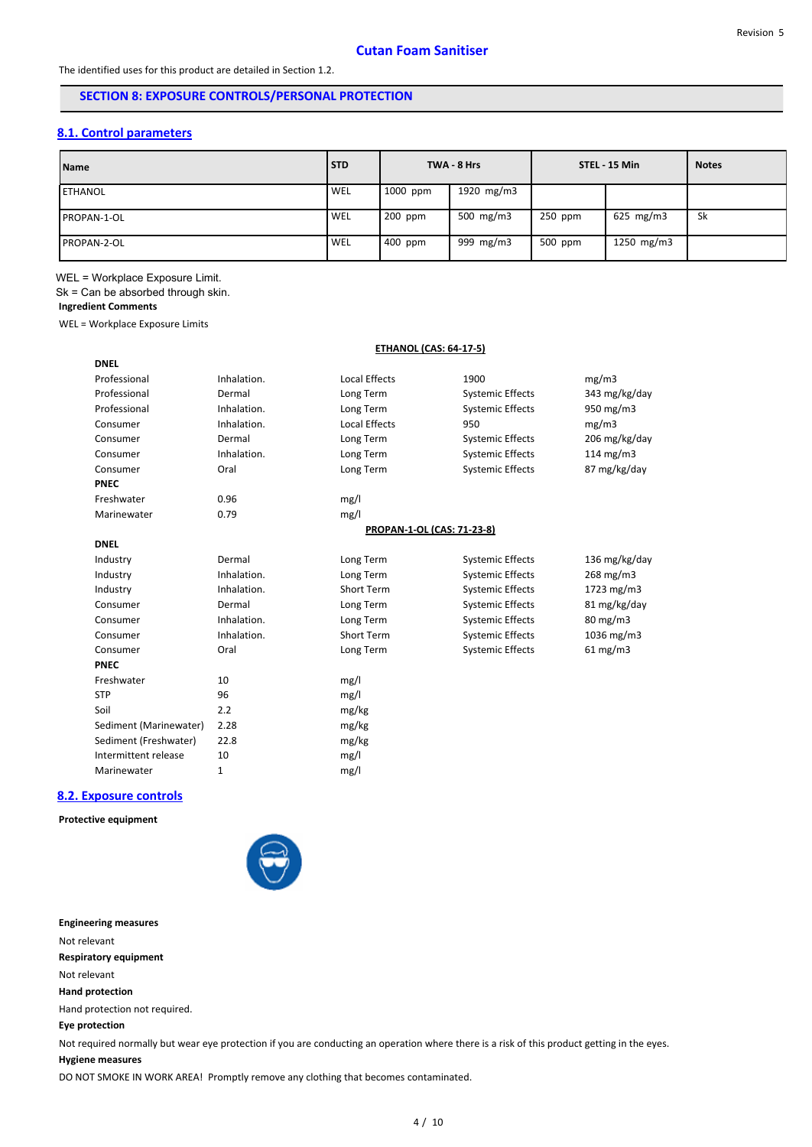# **SECTION 8: EXPOSURE CONTROLS/PERSONAL PROTECTION**

# **8.1. Control parameters**

| <b>Name</b>         | <b>STD</b> |          | TWA - 8 Hrs  |         | STEL 15 Min        | <b>Notes</b> |
|---------------------|------------|----------|--------------|---------|--------------------|--------------|
| <b>IETHANOL</b>     | WEL        | 1000 ppm | 1920 $mg/m3$ |         |                    |              |
| <b>IPROPAN-1-OL</b> | WEL        | 200 ppm  | 500 mg/m3    | 250 ppm | $625 \text{ mg/m}$ | Sk           |
| <b>IPROPAN-2-OL</b> | WEL        | 400 ppm  | 999 mg/m3    | 500 ppm | 1250 $mg/m3$       |              |

WEL = Workplace Exposure Limit. Sk = Can be absorbed through skin.

# **Ingredient Comments**

**DNEL**

WEL = Workplace Exposure Limits

## **ETHANOL (CAS: 64-17-5)**

| Professional           | Inhalation. | <b>Local Effects</b>       | 1900                    | mg/m3               |
|------------------------|-------------|----------------------------|-------------------------|---------------------|
| Professional           | Dermal      | Long Term                  | <b>Systemic Effects</b> | 343 mg/kg/day       |
| Professional           | Inhalation. | Long Term                  | <b>Systemic Effects</b> | $950 \text{ mg/m}$  |
| Consumer               | Inhalation. | <b>Local Effects</b>       | 950                     | mg/m3               |
| Consumer               | Dermal      | Long Term                  | <b>Systemic Effects</b> | 206 mg/kg/day       |
| Consumer               | Inhalation. | Long Term                  | <b>Systemic Effects</b> | 114 mg/m $3$        |
| Consumer               | Oral        | Long Term                  | <b>Systemic Effects</b> | 87 mg/kg/day        |
| <b>PNEC</b>            |             |                            |                         |                     |
| Freshwater             | 0.96        | mg/l                       |                         |                     |
| Marinewater            | 0.79        | mg/l                       |                         |                     |
|                        |             | PROPAN-1-OL (CAS: 71-23-8) |                         |                     |
| <b>DNEL</b>            |             |                            |                         |                     |
| Industry               | Dermal      | Long Term                  | <b>Systemic Effects</b> | 136 mg/kg/day       |
| Industry               | Inhalation. | Long Term                  | <b>Systemic Effects</b> | 268 mg/m3           |
| Industry               | Inhalation. | Short Term                 | <b>Systemic Effects</b> | 1723 mg/m3          |
| Consumer               | Dermal      | Long Term                  | <b>Systemic Effects</b> | 81 mg/kg/day        |
| Consumer               | Inhalation. | Long Term                  | <b>Systemic Effects</b> | $80 \text{ mg/m}$ 3 |
| Consumer               | Inhalation. | <b>Short Term</b>          | <b>Systemic Effects</b> | $1036$ mg/m $3$     |
| Consumer               | Oral        | Long Term                  | <b>Systemic Effects</b> | $61$ mg/m3          |
| <b>PNEC</b>            |             |                            |                         |                     |
| Freshwater             | 10          | mg/l                       |                         |                     |
| <b>STP</b>             | 96          | mg/l                       |                         |                     |
| Soil                   | 2.2         | mg/kg                      |                         |                     |
| Sediment (Marinewater) | 2.28        | mg/kg                      |                         |                     |
| Sediment (Freshwater)  | 22.8        | mg/kg                      |                         |                     |
| Intermittent release   | 10          | mg/l                       |                         |                     |
| Marinewater            | 1           | mg/l                       |                         |                     |
|                        |             |                            |                         |                     |

## **8.2. Exposure controls**

## **Protective equipment**



### **Engineering measures**

Not relevant

**Respiratory equipment**

- Not relevant
- **Hand protection**

Hand protection not required.

# **Eye protection**

Not required normally but wear eye protection if you are conducting an operation where there is a risk of this product getting in the eyes.

## **Hygiene measures**

DO NOT SMOKE IN WORK AREA! Promptly remove any clothing that becomes contaminated.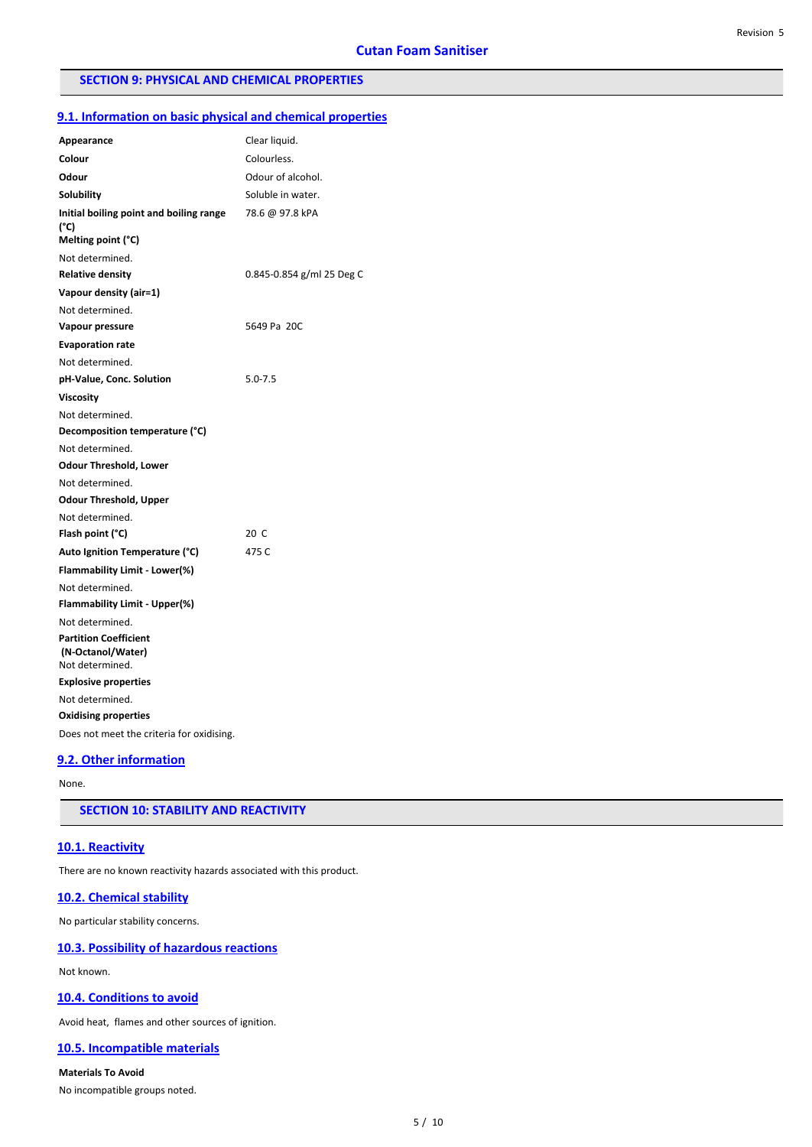## **SECTION 9: PHYSICAL AND CHEMICAL PROPERTIES**

### **9.1. Information on basic physical and chemical properties**

| Clear liquid.<br>Appearance<br>Colour<br>Colourless.<br>Odour of alcohol.<br>Odour<br>Soluble in water.<br>Solubility<br>Initial boiling point and boiling range<br>78.6 @ 97.8 kPA<br>(°C)<br>Melting point (°C)<br>Not determined.<br><b>Relative density</b><br>0.845-0.854 g/ml 25 Deg C<br>Vapour density (air=1)<br>Not determined.<br>5649 Pa 20C<br>Vapour pressure<br><b>Evaporation rate</b><br>Not determined.<br>$5.0 - 7.5$<br>pH-Value, Conc. Solution<br><b>Viscosity</b><br>Not determined.<br>Decomposition temperature (°C)<br>Not determined.<br><b>Odour Threshold, Lower</b><br>Not determined.<br><b>Odour Threshold, Upper</b><br>Not determined.<br>Flash point (°C)<br>20 C<br>Auto Ignition Temperature (°C)<br>475 C |
|-------------------------------------------------------------------------------------------------------------------------------------------------------------------------------------------------------------------------------------------------------------------------------------------------------------------------------------------------------------------------------------------------------------------------------------------------------------------------------------------------------------------------------------------------------------------------------------------------------------------------------------------------------------------------------------------------------------------------------------------------|
|                                                                                                                                                                                                                                                                                                                                                                                                                                                                                                                                                                                                                                                                                                                                                 |
|                                                                                                                                                                                                                                                                                                                                                                                                                                                                                                                                                                                                                                                                                                                                                 |
|                                                                                                                                                                                                                                                                                                                                                                                                                                                                                                                                                                                                                                                                                                                                                 |
|                                                                                                                                                                                                                                                                                                                                                                                                                                                                                                                                                                                                                                                                                                                                                 |
|                                                                                                                                                                                                                                                                                                                                                                                                                                                                                                                                                                                                                                                                                                                                                 |
|                                                                                                                                                                                                                                                                                                                                                                                                                                                                                                                                                                                                                                                                                                                                                 |
|                                                                                                                                                                                                                                                                                                                                                                                                                                                                                                                                                                                                                                                                                                                                                 |
|                                                                                                                                                                                                                                                                                                                                                                                                                                                                                                                                                                                                                                                                                                                                                 |
|                                                                                                                                                                                                                                                                                                                                                                                                                                                                                                                                                                                                                                                                                                                                                 |
|                                                                                                                                                                                                                                                                                                                                                                                                                                                                                                                                                                                                                                                                                                                                                 |
|                                                                                                                                                                                                                                                                                                                                                                                                                                                                                                                                                                                                                                                                                                                                                 |
|                                                                                                                                                                                                                                                                                                                                                                                                                                                                                                                                                                                                                                                                                                                                                 |
|                                                                                                                                                                                                                                                                                                                                                                                                                                                                                                                                                                                                                                                                                                                                                 |
|                                                                                                                                                                                                                                                                                                                                                                                                                                                                                                                                                                                                                                                                                                                                                 |
|                                                                                                                                                                                                                                                                                                                                                                                                                                                                                                                                                                                                                                                                                                                                                 |
|                                                                                                                                                                                                                                                                                                                                                                                                                                                                                                                                                                                                                                                                                                                                                 |
|                                                                                                                                                                                                                                                                                                                                                                                                                                                                                                                                                                                                                                                                                                                                                 |
|                                                                                                                                                                                                                                                                                                                                                                                                                                                                                                                                                                                                                                                                                                                                                 |
|                                                                                                                                                                                                                                                                                                                                                                                                                                                                                                                                                                                                                                                                                                                                                 |
|                                                                                                                                                                                                                                                                                                                                                                                                                                                                                                                                                                                                                                                                                                                                                 |
|                                                                                                                                                                                                                                                                                                                                                                                                                                                                                                                                                                                                                                                                                                                                                 |
|                                                                                                                                                                                                                                                                                                                                                                                                                                                                                                                                                                                                                                                                                                                                                 |
|                                                                                                                                                                                                                                                                                                                                                                                                                                                                                                                                                                                                                                                                                                                                                 |
|                                                                                                                                                                                                                                                                                                                                                                                                                                                                                                                                                                                                                                                                                                                                                 |
| <b>Flammability Limit - Lower(%)</b>                                                                                                                                                                                                                                                                                                                                                                                                                                                                                                                                                                                                                                                                                                            |
| Not determined.                                                                                                                                                                                                                                                                                                                                                                                                                                                                                                                                                                                                                                                                                                                                 |
| <b>Flammability Limit - Upper(%)</b>                                                                                                                                                                                                                                                                                                                                                                                                                                                                                                                                                                                                                                                                                                            |
| Not determined.                                                                                                                                                                                                                                                                                                                                                                                                                                                                                                                                                                                                                                                                                                                                 |
| <b>Partition Coefficient</b><br>(N-Octanol/Water)<br>Not determined.                                                                                                                                                                                                                                                                                                                                                                                                                                                                                                                                                                                                                                                                            |
| <b>Explosive properties</b>                                                                                                                                                                                                                                                                                                                                                                                                                                                                                                                                                                                                                                                                                                                     |
| Not determined.                                                                                                                                                                                                                                                                                                                                                                                                                                                                                                                                                                                                                                                                                                                                 |
| <b>Oxidising properties</b>                                                                                                                                                                                                                                                                                                                                                                                                                                                                                                                                                                                                                                                                                                                     |
| Does not meet the criteria for oxidising.                                                                                                                                                                                                                                                                                                                                                                                                                                                                                                                                                                                                                                                                                                       |

## **9.2. Other information**

None.

## **SECTION 10: STABILITY AND REACTIVITY**

#### **10.1. Reactivity**

There are no known reactivity hazards associated with this product.

#### **10.2. Chemical stability**

No particular stability concerns.

### **10.3. Possibility of hazardous reactions**

Not known.

# **10.4. Conditions to avoid**

Avoid heat, flames and other sources of ignition.

## **10.5. Incompatible materials**

**Materials To Avoid** No incompatible groups noted.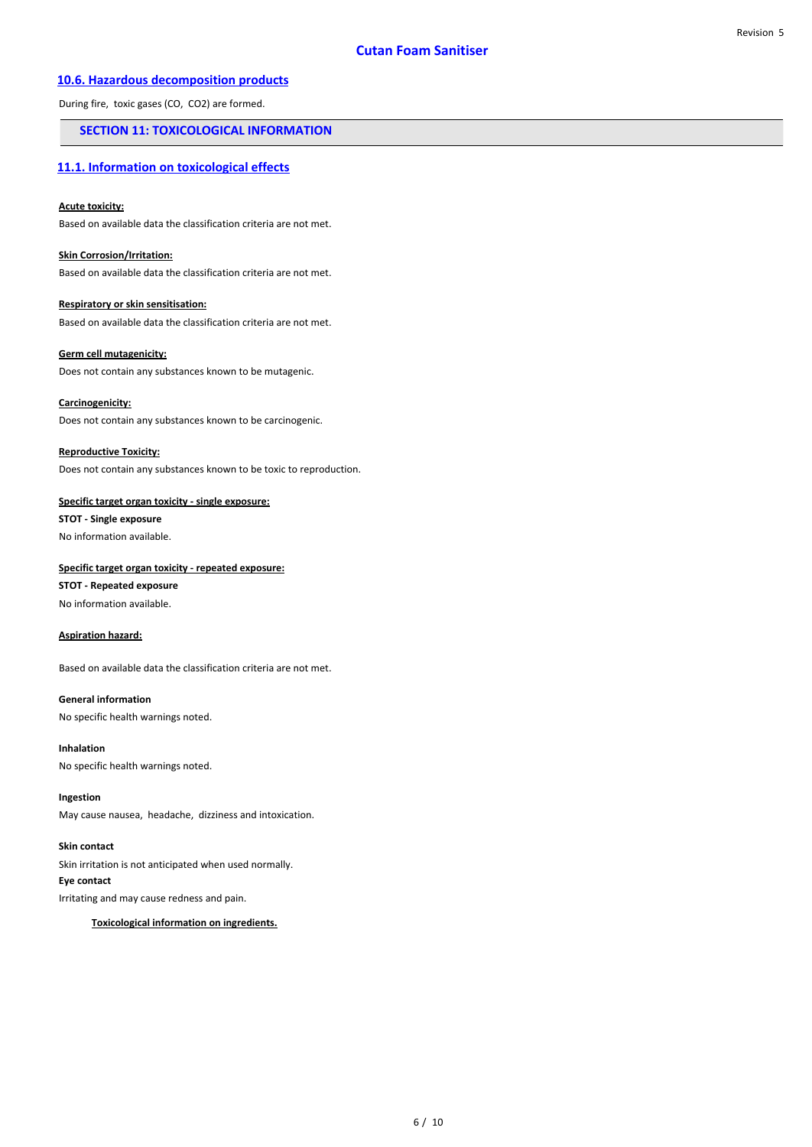# **10.6. Hazardous decomposition products**

During fire, toxic gases (CO, CO2) are formed.

# **SECTION 11: TOXICOLOGICAL INFORMATION**

## **11.1. Information on toxicological effects**

#### **Acute toxicity:**

Based on available data the classification criteria are not met.

#### **Skin Corrosion/Irritation:**

Based on available data the classification criteria are not met.

# **Respiratory or skin sensitisation:**

Based on available data the classification criteria are not met.

## **Germ cell mutagenicity:**

Does not contain any substances known to be mutagenic.

#### **Carcinogenicity:**

Does not contain any substances known to be carcinogenic.

#### **Reproductive Toxicity:**

Does not contain any substances known to be toxic to reproduction.

#### **Specific target organ toxicity - single exposure:**

**STOT - Single exposure**

# No information available.

## **Specific target organ toxicity - repeated exposure:**

**STOT - Repeated exposure** No information available.

#### **Aspiration hazard:**

Based on available data the classification criteria are not met.

#### **General information**

No specific health warnings noted.

#### **Inhalation**

No specific health warnings noted.

#### **Ingestion**

May cause nausea, headache, dizziness and intoxication.

#### **Skin contact**

Skin irritation is not anticipated when used normally. **Eye contact**

Irritating and may cause redness and pain.

## **Toxicological information on ingredients.**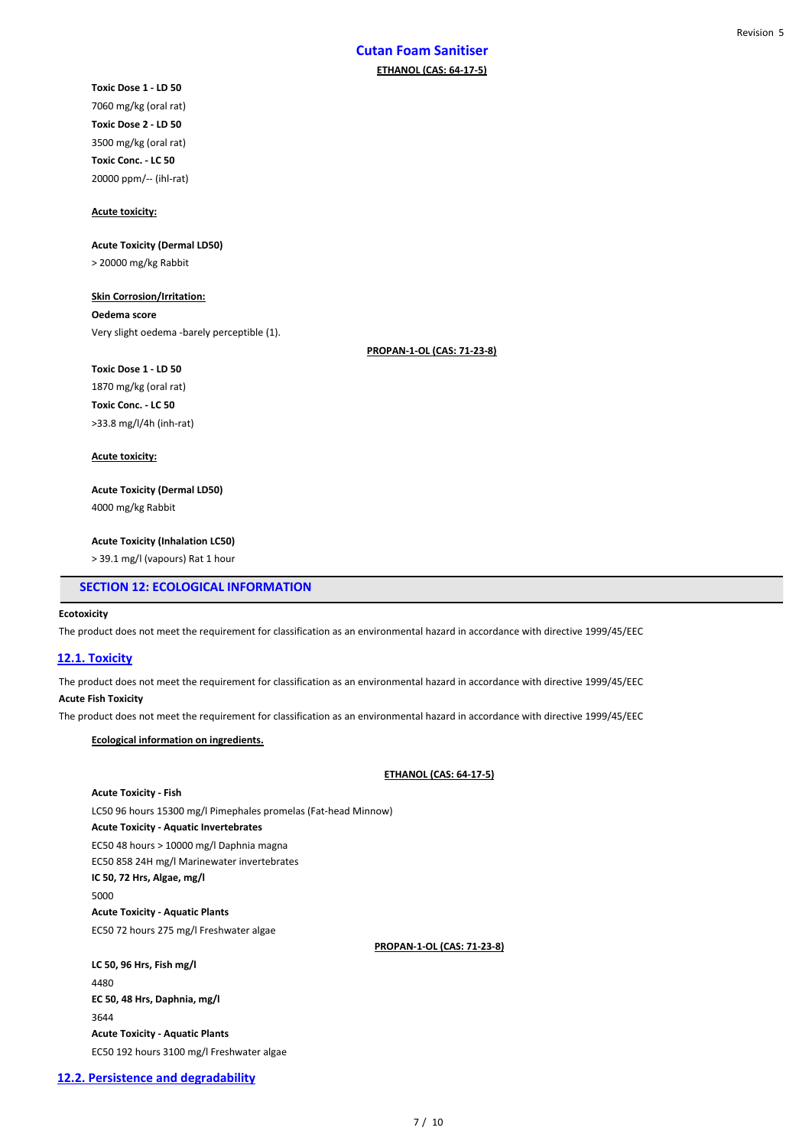# **Cutan Foam Sanitiser ETHANOL (CAS: 64-17-5)**

**Toxic Dose 1 - LD 50** 7060 mg/kg (oral rat) **Toxic Dose 2 - LD 50** 3500 mg/kg (oral rat) **Toxic Conc. - LC 50** 20000 ppm/-- (ihl-rat)

#### **Acute toxicity:**

#### **Acute Toxicity (Dermal LD50)**

> 20000 mg/kg Rabbit

## **Skin Corrosion/Irritation:**

**Oedema score** Very slight oedema -barely perceptible (1).

**PROPAN-1-OL (CAS: 71-23-8)**

1870 mg/kg (oral rat) **Toxic Conc. - LC 50** >33.8 mg/l/4h (inh-rat)

**Toxic Dose 1 - LD 50**

#### **Acute toxicity:**

**Acute Toxicity (Dermal LD50)**

4000 mg/kg Rabbit

### **Acute Toxicity (Inhalation LC50)**

> 39.1 mg/l (vapours) Rat 1 hour

## **SECTION 12: ECOLOGICAL INFORMATION**

#### **Ecotoxicity**

The product does not meet the requirement for classification as an environmental hazard in accordance with directive 1999/45/EEC

## **12.1. Toxicity**

The product does not meet the requirement for classification as an environmental hazard in accordance with directive 1999/45/EEC

#### **Acute Fish Toxicity**

The product does not meet the requirement for classification as an environmental hazard in accordance with directive 1999/45/EEC

#### **Ecological information on ingredients.**

#### **ETHANOL (CAS: 64-17-5)**

### **Acute Toxicity - Fish**

LC50 96 hours 15300 mg/l Pimephales promelas (Fat-head Minnow) **Acute Toxicity - Aquatic Invertebrates** EC50 48 hours > 10000 mg/l Daphnia magna EC50 858 24H mg/l Marinewater invertebrates **IC 50, 72 Hrs, Algae, mg/l** 5000 **Acute Toxicity - Aquatic Plants** EC50 72 hours 275 mg/l Freshwater algae

## **PROPAN-1-OL (CAS: 71-23-8)**

**LC 50, 96 Hrs, Fish mg/l** 4480 **EC 50, 48 Hrs, Daphnia, mg/l** 3644 **Acute Toxicity - Aquatic Plants** EC50 192 hours 3100 mg/l Freshwater algae

#### **12.2. Persistence and degradability**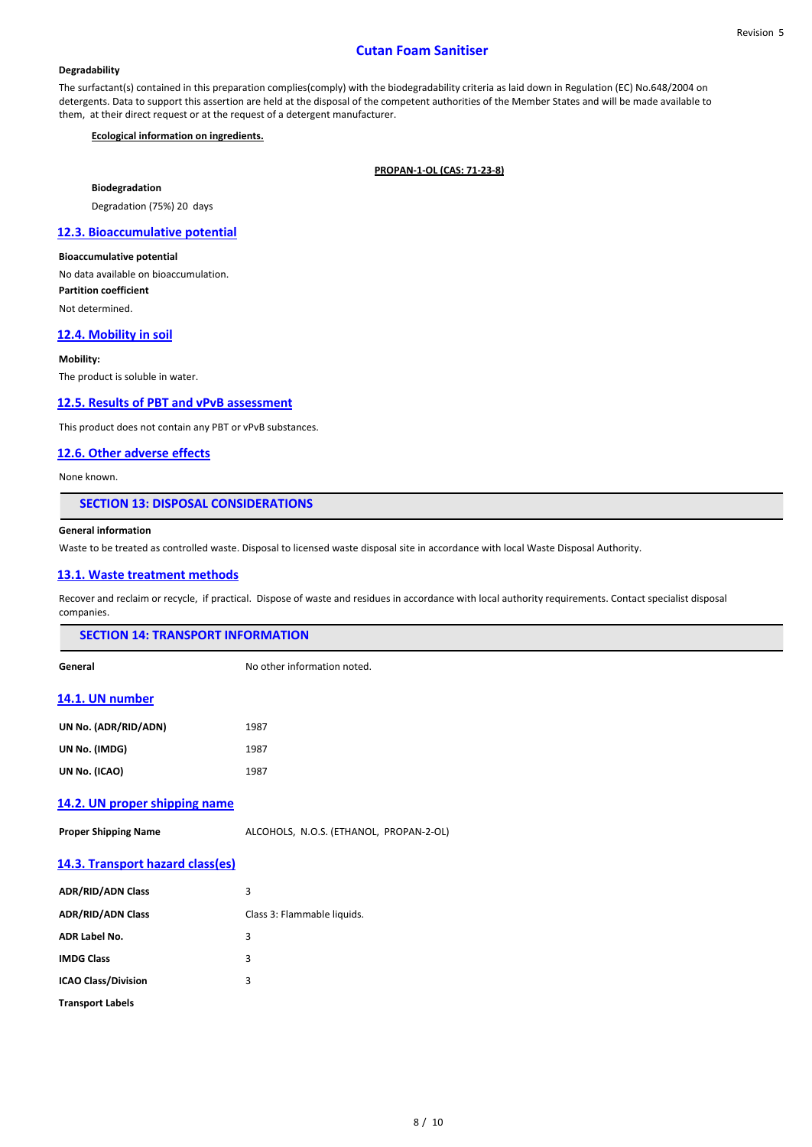## **Cutan Foam Sanitiser**

#### **Degradability**

The surfactant(s) contained in this preparation complies(comply) with the biodegradability criteria as laid down in Regulation (EC) No.648/2004 on detergents. Data to support this assertion are held at the disposal of the competent authorities of the Member States and will be made available to them, at their direct request or at the request of a detergent manufacturer.

#### **Ecological information on ingredients.**

**PROPAN-1-OL (CAS: 71-23-8)**

**Biodegradation**

Degradation (75%) 20 days

## **12.3. Bioaccumulative potential**

**Bioaccumulative potential** No data available on bioaccumulation. **Partition coefficient** Not determined.

# **12.4. Mobility in soil**

#### **Mobility:**

The product is soluble in water.

## **12.5. Results of PBT and vPvB assessment**

This product does not contain any PBT or vPvB substances.

### **12.6. Other adverse effects**

None known.

#### **SECTION 13: DISPOSAL CONSIDERATIONS**

#### **General information**

Waste to be treated as controlled waste. Disposal to licensed waste disposal site in accordance with local Waste Disposal Authority.

## **13.1. Waste treatment methods**

Recover and reclaim or recycle, if practical. Dispose of waste and residues in accordance with local authority requirements. Contact specialist disposal companies.

| <b>SECTION 14: TRANSPORT INFORMATION</b> |
|------------------------------------------|
|                                          |

**General** Contracts and Contracts No other information noted.

#### **14.1. UN number**

| UN No. (ADR/RID/ADN) | 1987 |
|----------------------|------|
| UN No. (IMDG)        | 1987 |
| UN No. (ICAO)        | 1987 |

## **14.2. UN proper shipping name**

**Proper Shipping Name** ALCOHOLS, N.O.S. (ETHANOL, PROPAN-2-OL)

## **14.3. Transport hazard class(es)**

| <b>ADR/RID/ADN Class</b>   | 3                           |
|----------------------------|-----------------------------|
| <b>ADR/RID/ADN Class</b>   | Class 3: Flammable liquids. |
| <b>ADR Label No.</b>       | 3                           |
| <b>IMDG Class</b>          | 3                           |
| <b>ICAO Class/Division</b> | 3                           |
| <b>Transport Labels</b>    |                             |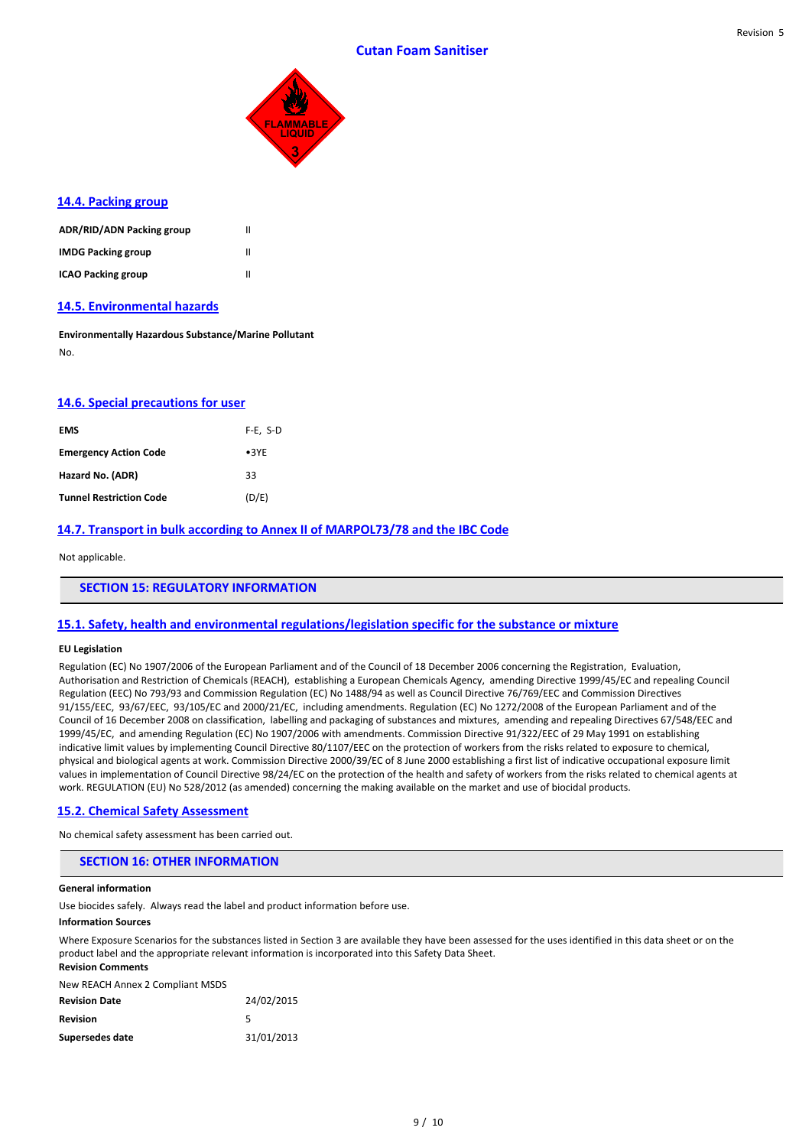Revision 5



## **14.4. Packing group**

| ADR/RID/ADN Packing group | Ш |
|---------------------------|---|
| <b>IMDG Packing group</b> | Ш |
| <b>ICAO Packing group</b> | Ш |

## **14.5. Environmental hazards**

**Environmentally Hazardous Substance/Marine Pollutant** No.

## **14.6. Special precautions for user**

| <b>EMS</b>                     | $F-E$ , S-D   |
|--------------------------------|---------------|
| <b>Emergency Action Code</b>   | $\bullet$ 3YE |
| Hazard No. (ADR)               | 33            |
| <b>Tunnel Restriction Code</b> | (D/E)         |

# **14.7. Transport in bulk according to Annex II of MARPOL73/78 and the IBC Code**

Not applicable.

### **SECTION 15: REGULATORY INFORMATION**

## **15.1. Safety, health and environmental regulations/legislation specific for the substance or mixture**

#### **EU Legislation**

Regulation (EC) No 1907/2006 of the European Parliament and of the Council of 18 December 2006 concerning the Registration, Evaluation, Authorisation and Restriction of Chemicals (REACH), establishing a European Chemicals Agency, amending Directive 1999/45/EC and repealing Council Regulation (EEC) No 793/93 and Commission Regulation (EC) No 1488/94 as well as Council Directive 76/769/EEC and Commission Directives 91/155/EEC, 93/67/EEC, 93/105/EC and 2000/21/EC, including amendments. Regulation (EC) No 1272/2008 of the European Parliament and of the Council of 16 December 2008 on classification, labelling and packaging of substances and mixtures, amending and repealing Directives 67/548/EEC and 1999/45/EC, and amending Regulation (EC) No 1907/2006 with amendments. Commission Directive 91/322/EEC of 29 May 1991 on establishing indicative limit values by implementing Council Directive 80/1107/EEC on the protection of workers from the risks related to exposure to chemical, physical and biological agents at work. Commission Directive 2000/39/EC of 8 June 2000 establishing a first list of indicative occupational exposure limit values in implementation of Council Directive 98/24/EC on the protection of the health and safety of workers from the risks related to chemical agents at work. REGULATION (EU) No 528/2012 (as amended) concerning the making available on the market and use of biocidal products.

#### **15.2. Chemical Safety Assessment**

No chemical safety assessment has been carried out.

## **SECTION 16: OTHER INFORMATION**

#### **General information**

Use biocides safely. Always read the label and product information before use.

#### **Information Sources**

Where Exposure Scenarios for the substances listed in Section 3 are available they have been assessed for the uses identified in this data sheet or on the product label and the appropriate relevant information is incorporated into this Safety Data Sheet. **Revision Comments**

New REACH Annex 2 Compliant MSDS

| <b>Revision Date</b> | 24/02/2015 |
|----------------------|------------|
| Revision             | 5          |
| Supersedes date      | 31/01/2013 |